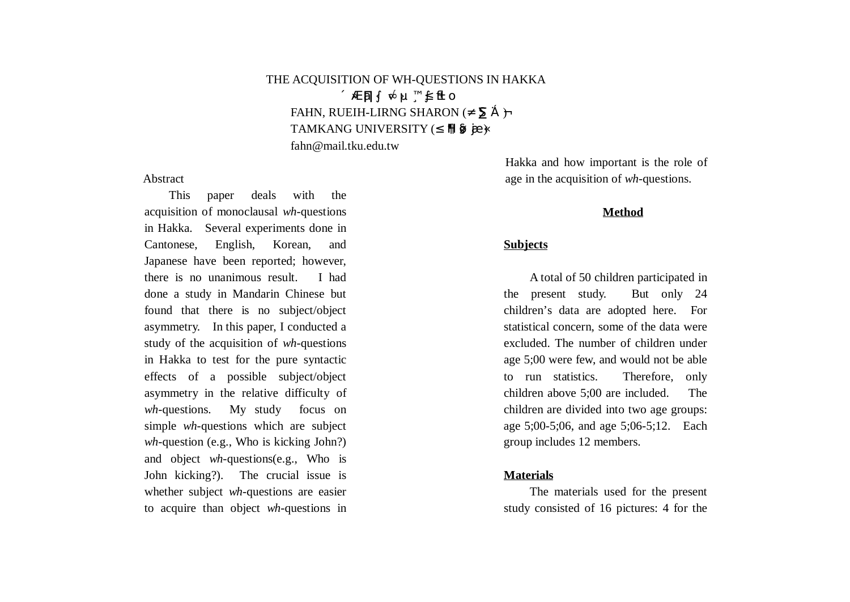# THE ACQUISITION OF WH-QUESTIONS IN HAKKA ÅÄÔÔŔHÄÕÄ. FAHN, RUEIH-LIRNG SHARON ( $C\tilde{M}$  $E\tilde{U}$ TAMKANG UNIVERSITY ( À ÙØà fahn@mail.tku.edu.tw

#### Abstract

This paper deals with the acquisition of monoclausal *wh*-questions in Hakka. Several experiments done in Cantonese, English, Korean, and Japanese have been reported; however, there is no unanimous result. I had done a study in Mandarin Chinese but found that there is no subject/object asymmetry. In this paper, I conducted a study of the acquisition of *wh*-questions in Hakka to test for the pure syntactic effects of a possible subject/object asymmetry in the relative difficulty of *wh*-questions. My study focus on simple *wh*-questions which are subject *wh*-question (e.g., Who is kicking John?) and object *wh*-questions(e.g., Who is John kicking?). The crucial issue is whether subject *wh*-questions are easier to acquire than object *wh*-questions in

Hakka and how important is the role of age in the acquisition of *wh*-questions.

#### **Method**

## **Subjects**

A total of 50 children participated in the present study. But only 24 children's data are adopted here. For statistical concern, some of the data were excluded. The number of children under age 5;00 were few, and would not be able to run statistics. Therefore, only children above 5;00 are included. The children are divided into two age groups: age 5;00-5;06, and age 5;06-5;12. Each group includes 12 members.

#### **Materials**

The materials used for the present study consisted of 16 pictures: 4 for the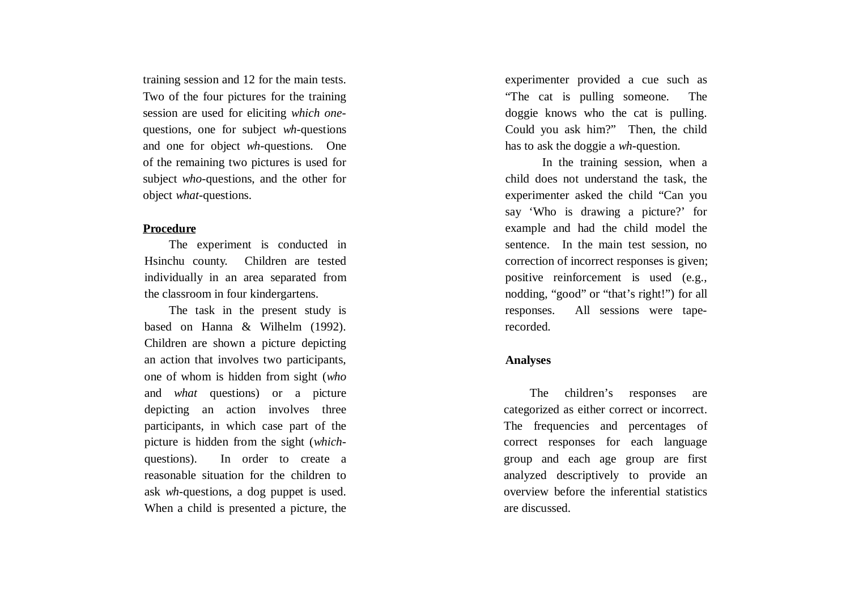training session and 12 for the main tests. Two of the four pictures for the training session are used for eliciting *which one*questions, one for subject *wh*-questions and one for object *wh*-questions. One of the remaining two pictures is used for subject *who*-questions, and the other for object *what*-questions.

## **Procedure**

The experiment is conducted in Hsinchu county. Children are tested individually in an area separated from the classroom in four kindergartens.

The task in the present study is based on Hanna & Wilhelm (1992). Children are shown a picture depicting an action that involves two participants, one of whom is hidden from sight (*who* and *what* questions) or a picture depicting an action involves three participants, in which case part of the picture is hidden from the sight (*which*questions). In order to create a reasonable situation for the children to ask *wh*-questions, a dog puppet is used. When a child is presented a picture, the

experimenter provided a cue such as "The cat is pulling someone. The doggie knows who the cat is pulling. Could you ask him?" Then, the child has to ask the doggie a *wh*-question.

In the training session, when a child does not understand the task, the experimenter asked the child "Can you say 'Who is drawing a picture?' for example and had the child model the sentence. In the main test session, no correction of incorrect responses is given; positive reinforcement is used (e.g., nodding, "good" or "that's right!") for all responses. All sessions were taperecorded.

#### **Analyses**

The children's responses are categorized as either correct or incorrect. The frequencies and percentages of correct responses for each language group and each age group are first analyzed descriptively to provide an overview before the inferential statistics are discussed.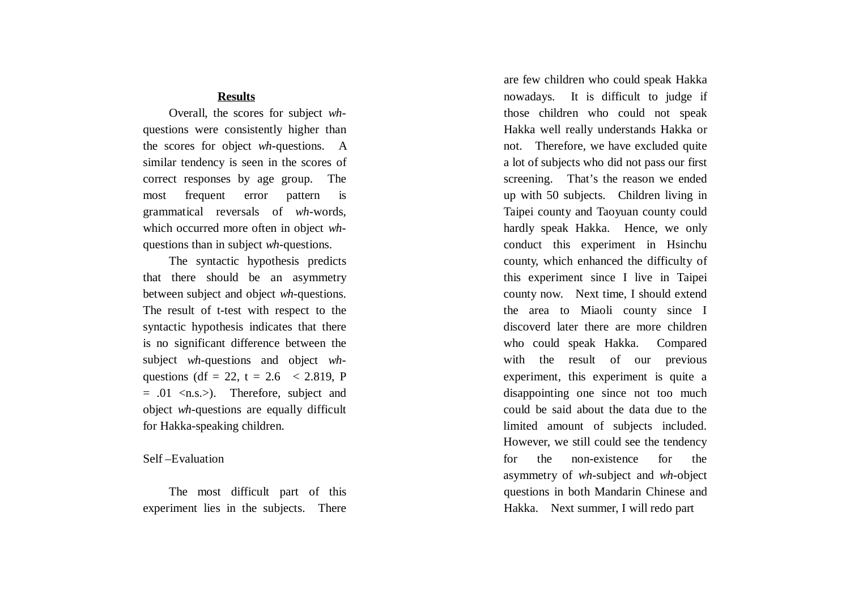## **Results**

Overall, the scores for subject *wh*questions were consistently higher than the scores for object *wh*-questions. A similar tendency is seen in the scores of correct responses by age group. The most frequent error pattern is grammatical reversals of *wh*-words, which occurred more often in object *wh*questions than in subject *wh*-questions.

The syntactic hypothesis predicts that there should be an asymmetry between subject and object *wh*-questions. The result of t-test with respect to the syntactic hypothesis indicates that there is no significant difference between the subject *wh*-questions and object *wh*questions (df = 22, t = 2.6  $\leq$  2.819, P  $= .01 \le n.s.$ ). Therefore, subject and object *wh*-questions are equally difficult for Hakka-speaking children.

#### Self –Evaluation

The most difficult part of this experiment lies in the subjects. There

are few children who could speak Hakka nowadays. It is difficult to judge if those children who could not speak Hakka well really understands Hakka or not. Therefore, we have excluded quite a lot of subjects who did not pass our first screening. That's the reason we ended up with 50 subjects. Children living in Taipei county and Taoyuan county could hardly speak Hakka. Hence, we only conduct this experiment in Hsinchu county, which enhanced the difficulty of this experiment since I live in Taipei county now. Next time, I should extend the area to Miaoli county since I discoverd later there are more children who could speak Hakka. Compared with the result of our previous experiment, this experiment is quite a disappointing one since not too much could be said about the data due to the limited amount of subjects included. However, we still could see the tendency for the non-existence for the asymmetry of *wh*-subject and *wh*-object questions in both Mandarin Chinese and Hakka. Next summer, I will redo part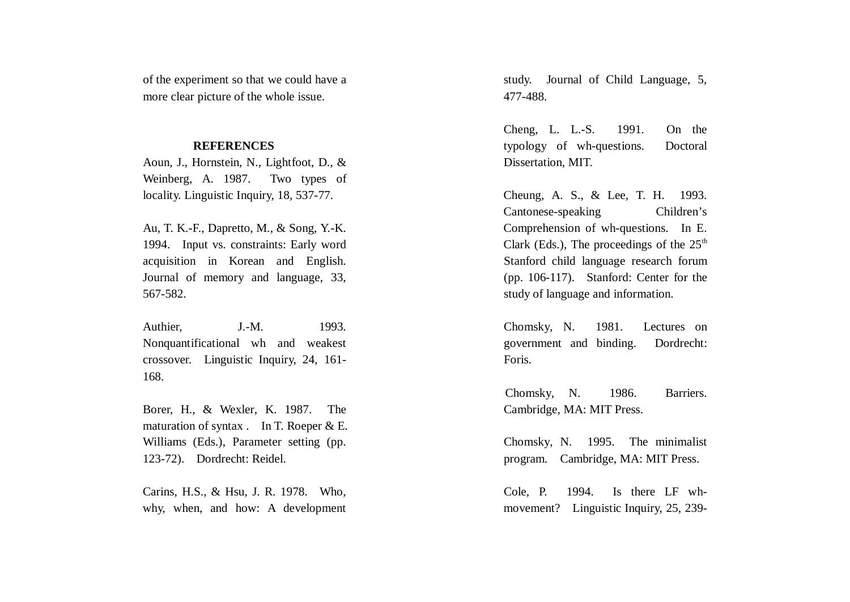of the experiment so that we could have a more clear picture of the whole issue.

## **REFERENCES**

Aoun, J., Hornstein, N., Lightfoot, D., & Weinberg, A. 1987. Two types of locality. Linguistic Inquiry, 18, 537-77.

Au, T. K.-F., Dapretto, M., & Song, Y.-K. 1994. Input vs. constraints: Early word acquisition in Korean and English. Journal of memory and language, 33, 567-582.

Authier, J.-M. 1993. Nonquantificational wh and weakest crossover. Linguistic Inquiry, 24, 161- 168.

Borer, H., & Wexler, K. 1987. The maturation of syntax . In T. Roeper & E. Williams (Eds.), Parameter setting (pp. 123-72). Dordrecht: Reidel.

Carins, H.S., & Hsu, J. R. 1978. Who, why, when, and how: A development study. Journal of Child Language, 5, 477-488.

Cheng, L. L.-S. 1991. On the typology of wh-questions. Doctoral Dissertation, MIT.

Cheung, A. S., & Lee, T. H. 1993. Cantonese-speaking Children's Comprehension of wh-questions. In E. Clark (Eds.), The proceedings of the  $25<sup>th</sup>$ Stanford child language research forum (pp. 106-117). Stanford: Center for the study of language and information.

Chomsky, N. 1981. Lectures on government and binding. Dordrecht: Foris.

Chomsky, N. 1986. Barriers. Cambridge, MA: MIT Press.

Chomsky, N. 1995. The minimalist program. Cambridge, MA: MIT Press.

Cole, P. 1994. Is there LF whmovement? Linguistic Inquiry, 25, 239-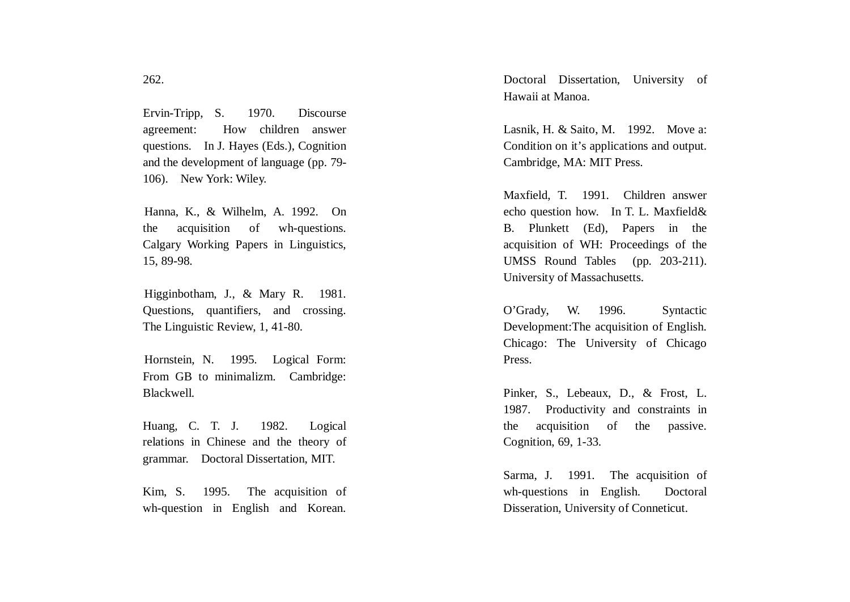Ervin-Tripp, S. 1970. Discourse agreement: How children answer questions. In J. Hayes (Eds.), Cognition and the development of language (pp. 79- 106). New York: Wiley.

Hanna, K., & Wilhelm, A. 1992. On the acquisition of wh-questions. Calgary Working Papers in Linguistics, 15, 89-98.

Higginbotham, J., & Mary R. 1981. Questions, quantifiers, and crossing. The Linguistic Review, 1, 41-80.

Hornstein, N. 1995. Logical Form: From GB to minimalizm. Cambridge: Blackwell.

Huang, C. T. J. 1982. Logical relations in Chinese and the theory of grammar. Doctoral Dissertation, MIT.

Kim, S. 1995. The acquisition of wh-question in English and Korean.

Doctoral Dissertation, University of Hawaii at Manoa.

Lasnik, H. & Saito, M. 1992. Move a: Condition on it's applications and output. Cambridge, MA: MIT Press.

Maxfield, T. 1991. Children answer echo question how. In T. L. Maxfield& B. Plunkett (Ed), Papers in the acquisition of WH: Proceedings of the UMSS Round Tables (pp. 203-211). University of Massachusetts.

O'Grady, W. 1996. Syntactic Development:The acquisition of English. Chicago: The University of Chicago Press.

Pinker, S., Lebeaux, D., & Frost, L. 1987. Productivity and constraints in the acquisition of the passive. Cognition, 69, 1-33.

Sarma, J. 1991. The acquisition of wh-questions in English. Doctoral Disseration, University of Conneticut.